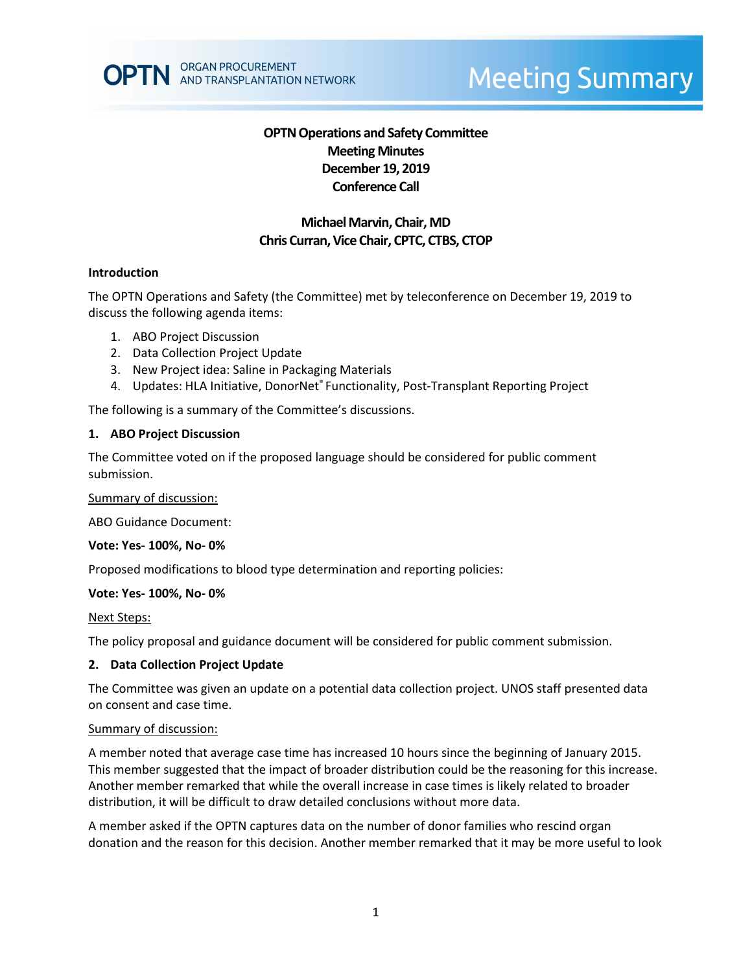

# **Meeting Summary**

# **OPTN Operations and Safety Committee Meeting Minutes December 19, 2019 Conference Call**

# **Michael Marvin, Chair, MD Chris Curran, Vice Chair, CPTC, CTBS, CTOP**

#### **Introduction**

The OPTN Operations and Safety (the Committee) met by teleconference on December 19, 2019 to discuss the following agenda items:

- 1. ABO Project Discussion
- 2. Data Collection Project Update
- 3. New Project idea: Saline in Packaging Materials
- 4. Updates: HLA Initiative, DonorNet® Functionality, Post-Transplant Reporting Project

The following is a summary of the Committee's discussions.

#### **1. ABO Project Discussion**

The Committee voted on if the proposed language should be considered for public comment submission.

#### Summary of discussion:

ABO Guidance Document:

#### **Vote: Yes- 100%, No- 0%**

Proposed modifications to blood type determination and reporting policies:

#### **Vote: Yes- 100%, No- 0%**

#### Next Steps:

The policy proposal and guidance document will be considered for public comment submission.

#### **2. Data Collection Project Update**

The Committee was given an update on a potential data collection project. UNOS staff presented data on consent and case time.

#### Summary of discussion:

A member noted that average case time has increased 10 hours since the beginning of January 2015. This member suggested that the impact of broader distribution could be the reasoning for this increase. Another member remarked that while the overall increase in case times is likely related to broader distribution, it will be difficult to draw detailed conclusions without more data.

A member asked if the OPTN captures data on the number of donor families who rescind organ donation and the reason for this decision. Another member remarked that it may be more useful to look